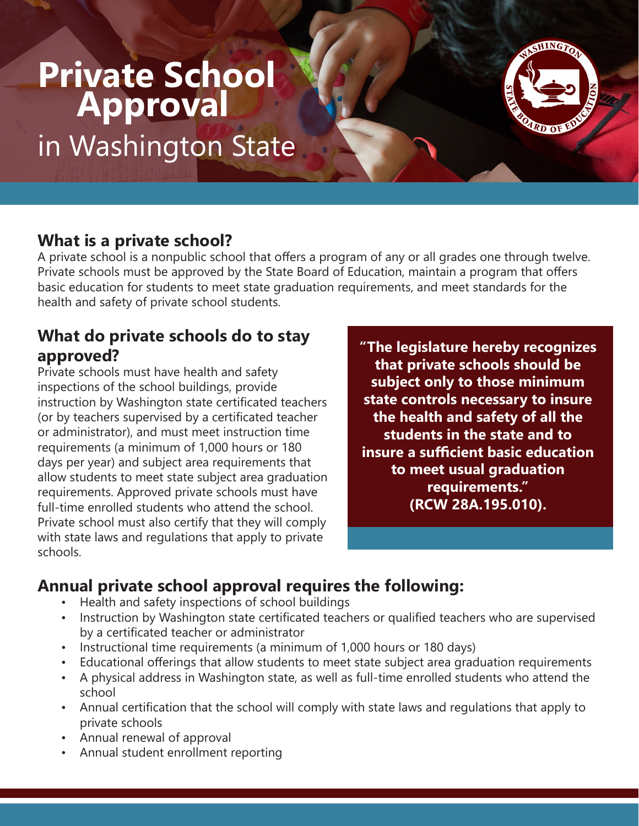# **Private School Approval**

in Washington State

### **What is a private school?**

A private school is a nonpublic school that offers a program of any or all grades one through twelve. Private schools must be approved by the State Board of Education, maintain a program that offers basic education for students to meet state graduation requirements, and meet standards for the health and safety of private school students.

#### **What do private schools do to stay approved?**

Private schools must have health and safety inspections of the school buildings, provide instruction by Washington state certificated teachers (or by teachers supervised by a certificated teacher or administrator), and must meet instruction time requirements (a minimum of 1,000 hours or 180 days per year) and subject area requirements that allow students to meet state subject area graduation requirements. Approved private schools must have full-time enrolled students who attend the school. Private school must also certify that they will comply with state laws and regulations that apply to private schools.

**"The legislature hereby recognizes that private schools should be subject only to those minimum state controls necessary to insure the health and safety of all the students in the state and to insure a sufficient basic education to meet usual graduation requirements." (RCW 28A.195.010).**

## **Annual private school approval requires the following:**

- Health and safety inspections of school buildings
- Instruction by Washington state certificated teachers or qualified teachers who are supervised by a certificated teacher or administrator
- Instructional time requirements (a minimum of 1,000 hours or 180 days)
- Educational offerings that allow students to meet state subject area graduation requirements
- A physical address in Washington state, as well as full-time enrolled students who attend the school
- Annual certification that the school will comply with state laws and regulations that apply to private schools
- Annual renewal of approval
- Annual student enrollment reporting